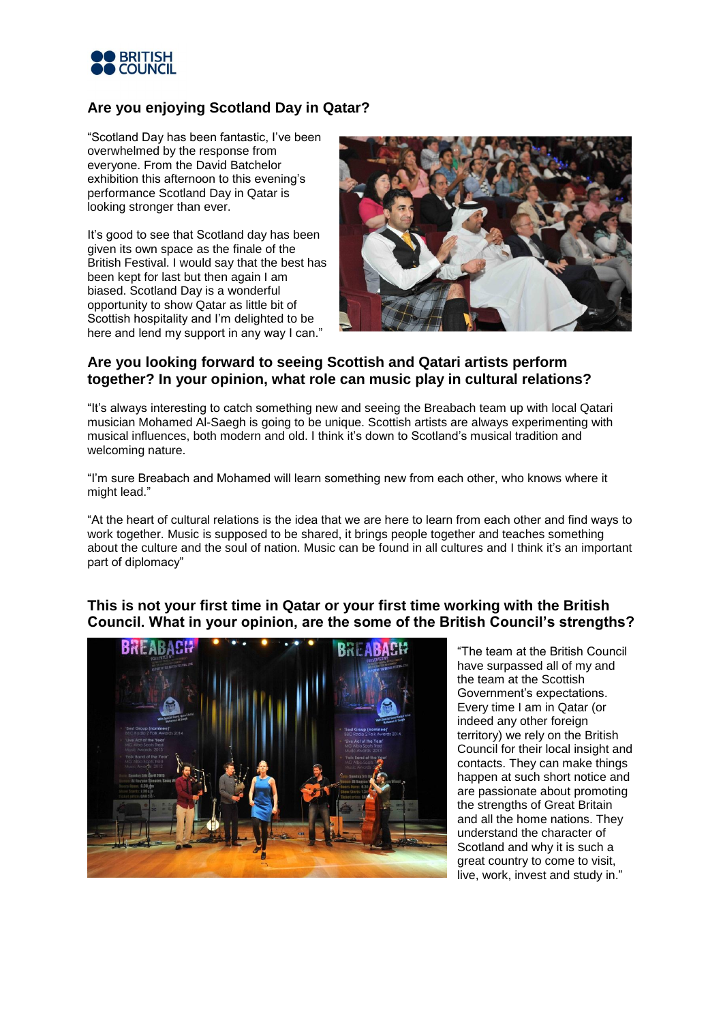

## **Are you enjoying Scotland Day in Qatar?**

"Scotland Day has been fantastic, I've been overwhelmed by the response from everyone. From the David Batchelor exhibition this afternoon to this evening's performance Scotland Day in Qatar is looking stronger than ever.

It's good to see that Scotland day has been given its own space as the finale of the British Festival. I would say that the best has been kept for last but then again I am biased. Scotland Day is a wonderful opportunity to show Qatar as little bit of Scottish hospitality and I'm delighted to be here and lend my support in any way I can."



## **Are you looking forward to seeing Scottish and Qatari artists perform together? In your opinion, what role can music play in cultural relations?**

"It's always interesting to catch something new and seeing the Breabach team up with local Qatari musician Mohamed Al-Saegh is going to be unique. Scottish artists are always experimenting with musical influences, both modern and old. I think it's down to Scotland's musical tradition and welcoming nature.

"I'm sure Breabach and Mohamed will learn something new from each other, who knows where it might lead."

"At the heart of cultural relations is the idea that we are here to learn from each other and find ways to work together. Music is supposed to be shared, it brings people together and teaches something about the culture and the soul of nation. Music can be found in all cultures and I think it's an important part of diplomacy"

## **This is not your first time in Qatar or your first time working with the British Council. What in your opinion, are the some of the British Council's strengths?**



"The team at the British Council have surpassed all of my and the team at the Scottish Government's expectations. Every time I am in Qatar (or indeed any other foreign territory) we rely on the British Council for their local insight and contacts. They can make things happen at such short notice and are passionate about promoting the strengths of Great Britain and all the home nations. They understand the character of Scotland and why it is such a great country to come to visit, live, work, invest and study in."